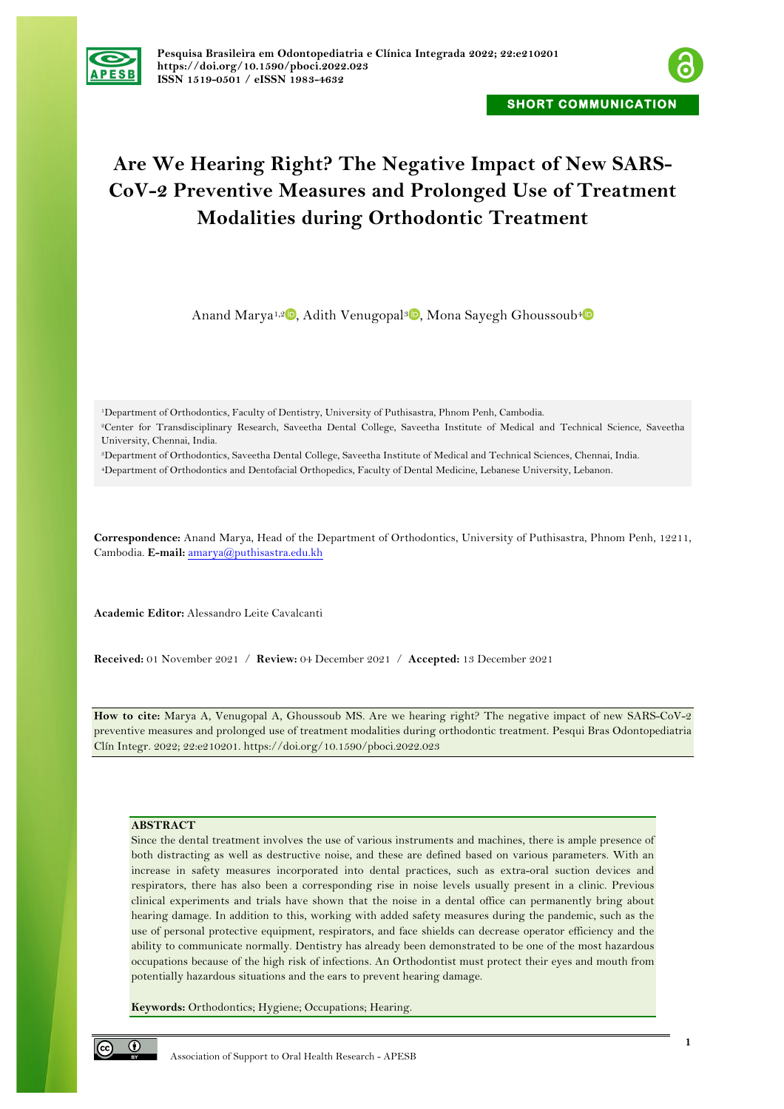



# **Are We Hearing Right? The Negative Impact of New SARS-CoV-2 Preventive Measures and Prolonged Use of Treatment Modalities during Orthodontic Treatment**

Anand Marya<sup>1,[2](https://orcid.org/0000-0003-2009-4393)</sup><sup>0</sup>[,](https://orcid.org/0000-0002-7945-8799) Adith Venugopal<sup>3</sup><sup>0</sup>, Mona Sayegh Ghoussoub<sup>[4](https://orcid.org/0000-0001-7983-4822)</sup><sup>0</sup>

1Department of Orthodontics, Faculty of Dentistry, University of Puthisastra, Phnom Penh, Cambodia. 2Center for Transdisciplinary Research, Saveetha Dental College, Saveetha Institute of Medical and Technical Science, Saveetha University, Chennai, India.

3Department of Orthodontics, Saveetha Dental College, Saveetha Institute of Medical and Technical Sciences, Chennai, India.

4Department of Orthodontics and Dentofacial Orthopedics, Faculty of Dental Medicine, Lebanese University, Lebanon.

**Correspondence:** Anand Marya, Head of the Department of Orthodontics, University of Puthisastra, Phnom Penh, 12211, Cambodia. **E-mail:** amarya@puthisastra.edu.kh

**Academic Editor:** Alessandro Leite Cavalcanti

**Received:** 01 November 2021 / **Review:** 04 December 2021 / **Accepted:** 13 December 2021

**How to cite:** Marya A, Venugopal A, Ghoussoub MS. Are we hearing right? The negative impact of new SARS-CoV-2 preventive measures and prolonged use of treatment modalities during orthodontic treatment. Pesqui Bras Odontopediatria Clín Integr. 2022; 22:e210201. https://doi.org/10.1590/pboci.2022.023

# **ABSTRACT**

Since the dental treatment involves the use of various instruments and machines, there is ample presence of both distracting as well as destructive noise, and these are defined based on various parameters. With an increase in safety measures incorporated into dental practices, such as extra-oral suction devices and respirators, there has also been a corresponding rise in noise levels usually present in a clinic. Previous clinical experiments and trials have shown that the noise in a dental office can permanently bring about hearing damage. In addition to this, working with added safety measures during the pandemic, such as the use of personal protective equipment, respirators, and face shields can decrease operator efficiency and the ability to communicate normally. Dentistry has already been demonstrated to be one of the most hazardous occupations because of the high risk of infections. An Orthodontist must protect their eyes and mouth from potentially hazardous situations and the ears to prevent hearing damage.

**Keywords:** Orthodontics; Hygiene; Occupations; Hearing.

 $\odot$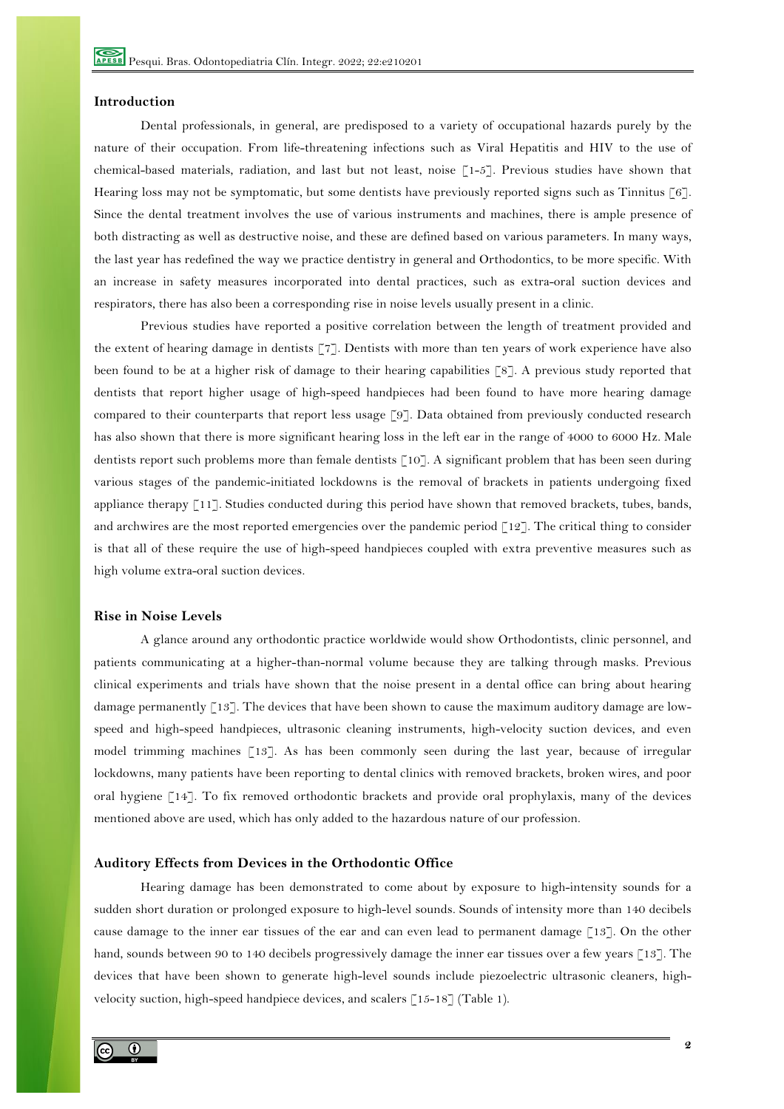## **Introduction**

Dental professionals, in general, are predisposed to a variety of occupational hazards purely by the nature of their occupation. From life-threatening infections such as Viral Hepatitis and HIV to the use of chemical-based materials, radiation, and last but not least, noise [1-5]. Previous studies have shown that Hearing loss may not be symptomatic, but some dentists have previously reported signs such as Tinnitus [6]. Since the dental treatment involves the use of various instruments and machines, there is ample presence of both distracting as well as destructive noise, and these are defined based on various parameters. In many ways, the last year has redefined the way we practice dentistry in general and Orthodontics, to be more specific. With an increase in safety measures incorporated into dental practices, such as extra-oral suction devices and respirators, there has also been a corresponding rise in noise levels usually present in a clinic.

Previous studies have reported a positive correlation between the length of treatment provided and the extent of hearing damage in dentists [7]. Dentists with more than ten years of work experience have also been found to be at a higher risk of damage to their hearing capabilities [8]. A previous study reported that dentists that report higher usage of high-speed handpieces had been found to have more hearing damage compared to their counterparts that report less usage [9]. Data obtained from previously conducted research has also shown that there is more significant hearing loss in the left ear in the range of 4000 to 6000 Hz. Male dentists report such problems more than female dentists [10]. A significant problem that has been seen during various stages of the pandemic-initiated lockdowns is the removal of brackets in patients undergoing fixed appliance therapy [11]. Studies conducted during this period have shown that removed brackets, tubes, bands, and archwires are the most reported emergencies over the pandemic period [12]. The critical thing to consider is that all of these require the use of high-speed handpieces coupled with extra preventive measures such as high volume extra-oral suction devices.

#### **Rise in Noise Levels**

A glance around any orthodontic practice worldwide would show Orthodontists, clinic personnel, and patients communicating at a higher-than-normal volume because they are talking through masks. Previous clinical experiments and trials have shown that the noise present in a dental office can bring about hearing damage permanently [13]. The devices that have been shown to cause the maximum auditory damage are lowspeed and high-speed handpieces, ultrasonic cleaning instruments, high-velocity suction devices, and even model trimming machines [13]. As has been commonly seen during the last year, because of irregular lockdowns, many patients have been reporting to dental clinics with removed brackets, broken wires, and poor oral hygiene [14]. To fix removed orthodontic brackets and provide oral prophylaxis, many of the devices mentioned above are used, which has only added to the hazardous nature of our profession.

#### **Auditory Effects from Devices in the Orthodontic Office**

Hearing damage has been demonstrated to come about by exposure to high-intensity sounds for a sudden short duration or prolonged exposure to high-level sounds. Sounds of intensity more than 140 decibels cause damage to the inner ear tissues of the ear and can even lead to permanent damage [13]. On the other hand, sounds between 90 to 140 decibels progressively damage the inner ear tissues over a few years [13]. The devices that have been shown to generate high-level sounds include piezoelectric ultrasonic cleaners, highvelocity suction, high-speed handpiece devices, and scalers [15-18] (Table 1).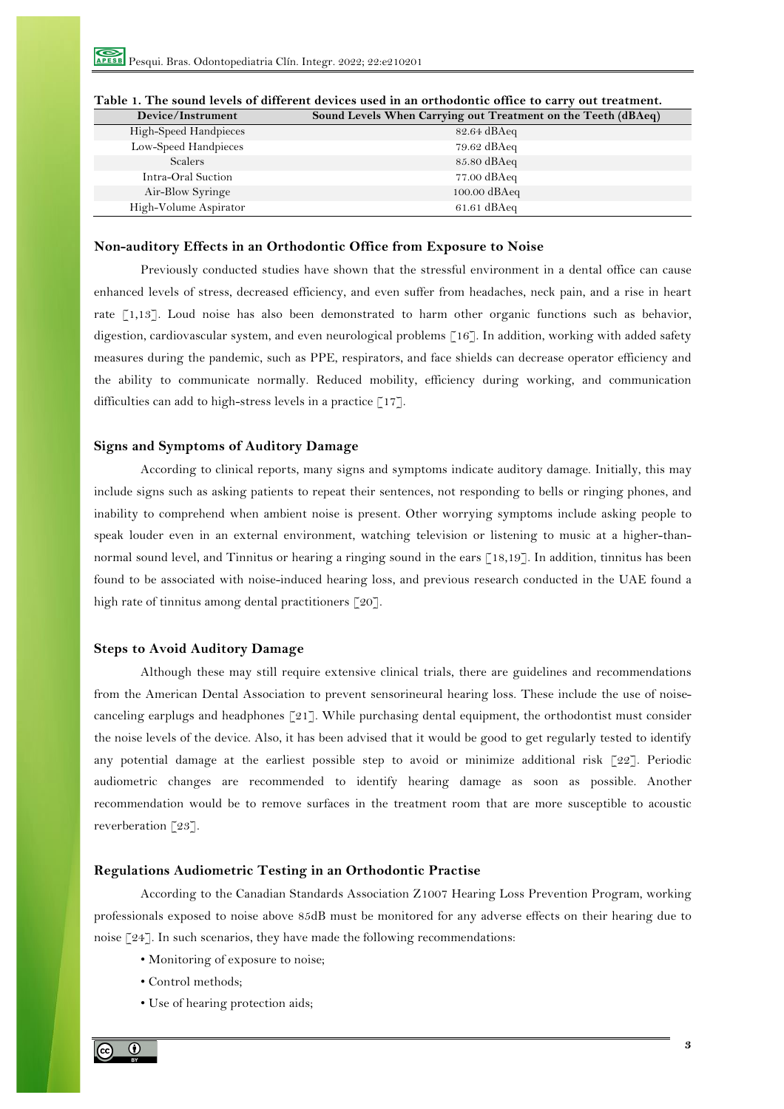$\overline{\phantom{a}}$ 

| Device/Instrument     | Sound Levels When Carrying out Treatment on the Teeth (dBAeq) |
|-----------------------|---------------------------------------------------------------|
| High-Speed Handpieces | 82.64 dBAeq                                                   |
| Low-Speed Handpieces  | $79.62 \text{ dBAeq}$                                         |
| <b>Scalers</b>        | 85.80 dBAeq                                                   |
| Intra-Oral Suction    | $77.00 \text{ dBAeq}$                                         |
| Air-Blow Syringe      | $100.00$ dBAeq                                                |
| High-Volume Aspirator | $61.61 \text{ dBAeq}$                                         |

# **Table 1. The sound levels of different devices used in an orthodontic office to carry out treatment.**

### **Non-auditory Effects in an Orthodontic Office from Exposure to Noise**

Previously conducted studies have shown that the stressful environment in a dental office can cause enhanced levels of stress, decreased efficiency, and even suffer from headaches, neck pain, and a rise in heart rate [1,13]. Loud noise has also been demonstrated to harm other organic functions such as behavior, digestion, cardiovascular system, and even neurological problems [16]. In addition, working with added safety measures during the pandemic, such as PPE, respirators, and face shields can decrease operator efficiency and the ability to communicate normally. Reduced mobility, efficiency during working, and communication difficulties can add to high-stress levels in a practice [17].

# **Signs and Symptoms of Auditory Damage**

According to clinical reports, many signs and symptoms indicate auditory damage. Initially, this may include signs such as asking patients to repeat their sentences, not responding to bells or ringing phones, and inability to comprehend when ambient noise is present. Other worrying symptoms include asking people to speak louder even in an external environment, watching television or listening to music at a higher-thannormal sound level, and Tinnitus or hearing a ringing sound in the ears [18,19]. In addition, tinnitus has been found to be associated with noise-induced hearing loss, and previous research conducted in the UAE found a high rate of tinnitus among dental practitioners [20].

## **Steps to Avoid Auditory Damage**

Although these may still require extensive clinical trials, there are guidelines and recommendations from the American Dental Association to prevent sensorineural hearing loss. These include the use of noisecanceling earplugs and headphones  $\lceil 21 \rceil$ . While purchasing dental equipment, the orthodontist must consider the noise levels of the device. Also, it has been advised that it would be good to get regularly tested to identify any potential damage at the earliest possible step to avoid or minimize additional risk [22]. Periodic audiometric changes are recommended to identify hearing damage as soon as possible. Another recommendation would be to remove surfaces in the treatment room that are more susceptible to acoustic reverberation [23].

# **Regulations Audiometric Testing in an Orthodontic Practise**

According to the Canadian Standards Association Z1007 Hearing Loss Prevention Program, working professionals exposed to noise above 85dB must be monitored for any adverse effects on their hearing due to noise [24]. In such scenarios, they have made the following recommendations:

- Monitoring of exposure to noise;
- Control methods;
- Use of hearing protection aids;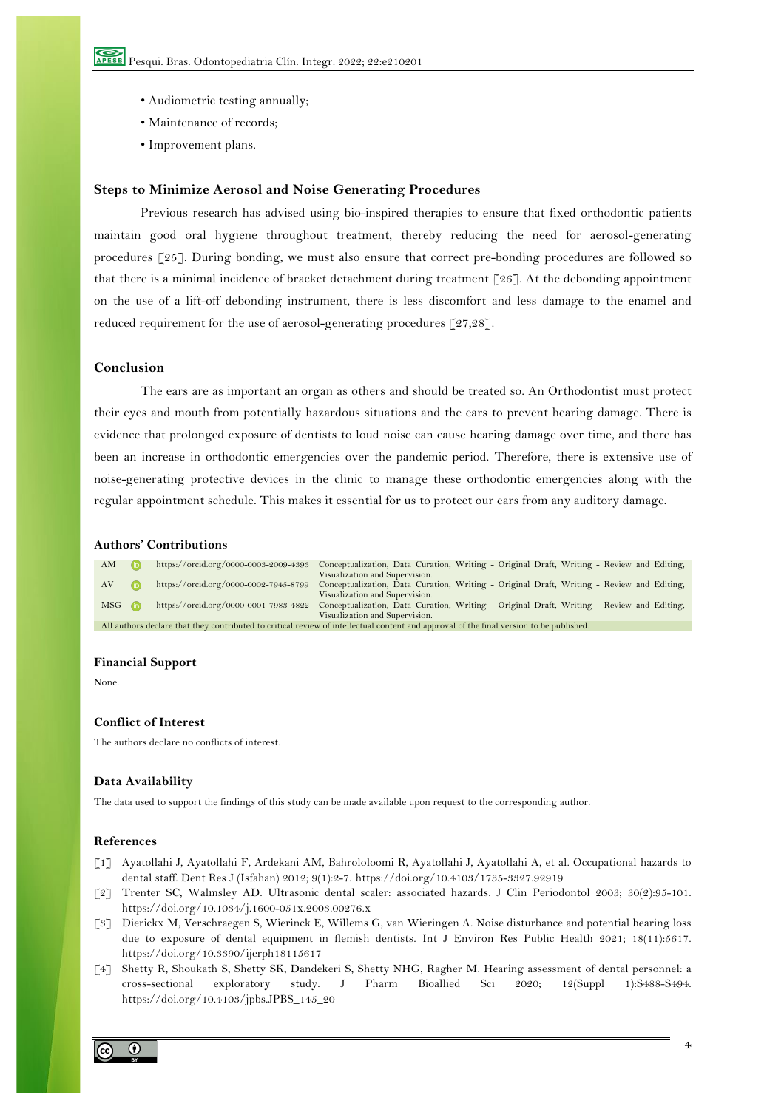- Audiometric testing annually;
- Maintenance of records;
- Improvement plans.

#### **Steps to Minimize Aerosol and Noise Generating Procedures**

Previous research has advised using bio-inspired therapies to ensure that fixed orthodontic patients maintain good oral hygiene throughout treatment, thereby reducing the need for aerosol-generating procedures [25]. During bonding, we must also ensure that correct pre-bonding procedures are followed so that there is a minimal incidence of bracket detachment during treatment [26]. At the debonding appointment on the use of a lift-off debonding instrument, there is less discomfort and less damage to the enamel and reduced requirement for the use of aerosol-generating procedures [27,28].

# **Conclusion**

The ears are as important an organ as others and should be treated so. An Orthodontist must protect their eyes and mouth from potentially hazardous situations and the ears to prevent hearing damage. There is evidence that prolonged exposure of dentists to loud noise can cause hearing damage over time, and there has been an increase in orthodontic emergencies over the pandemic period. Therefore, there is extensive use of noise-generating protective devices in the clinic to manage these orthodontic emergencies along with the regular appointment schedule. This makes it essential for us to protect our ears from any auditory damage.

# **Authors' Contributions**

| AM                                                                                                                                      |  | https://orcid.org/0000-0003-2009-4393 | Conceptualization, Data Curation, Writing - Original Draft, Writing - Review and Editing, |  |
|-----------------------------------------------------------------------------------------------------------------------------------------|--|---------------------------------------|-------------------------------------------------------------------------------------------|--|
|                                                                                                                                         |  |                                       | Visualization and Supervision.                                                            |  |
| AV                                                                                                                                      |  | https://orcid.org/0000-0002-7945-8799 | Conceptualization, Data Curation, Writing - Original Draft, Writing - Review and Editing, |  |
|                                                                                                                                         |  |                                       | Visualization and Supervision.                                                            |  |
| $MSG$ (i)                                                                                                                               |  | https://orcid.org/0000-0001-7983-4822 | Conceptualization, Data Curation, Writing - Original Draft, Writing - Review and Editing, |  |
|                                                                                                                                         |  |                                       | Visualization and Supervision.                                                            |  |
| All authors declare that they contributed to critical review of intellectual content and approval of the final version to be published. |  |                                       |                                                                                           |  |

#### **Financial Support**

None.

# **Conflict of Interest**

The authors declare no conflicts of interest.

#### **Data Availability**

The data used to support the findings of this study can be made available upon request to the corresponding author.

#### **References**

- [1] Ayatollahi J, Ayatollahi F, Ardekani AM, Bahrololoomi R, Ayatollahi J, Ayatollahi A, et al. Occupational hazards to dental staff. Dent Res J (Isfahan) 2012; 9(1):2-7. https://doi.org/10.4103/1735-3327.92919
- [2] Trenter SC, Walmsley AD. Ultrasonic dental scaler: associated hazards. J Clin Periodontol 2003; 30(2):95-101. https://doi.org/10.1034/j.1600-051x.2003.00276.x
- [3] Dierickx M, Verschraegen S, Wierinck E, Willems G, van Wieringen A. Noise disturbance and potential hearing loss due to exposure of dental equipment in flemish dentists. Int J Environ Res Public Health 2021; 18(11):5617. https://doi.org/10.3390/ijerph18115617
- [4] Shetty R, Shoukath S, Shetty SK, Dandekeri S, Shetty NHG, Ragher M. Hearing assessment of dental personnel: a cross-sectional exploratory study. J Pharm Bioallied Sci 2020; 12(Suppl 1):S488-S494. https://doi.org/10.4103/jpbs.JPBS\_145\_20